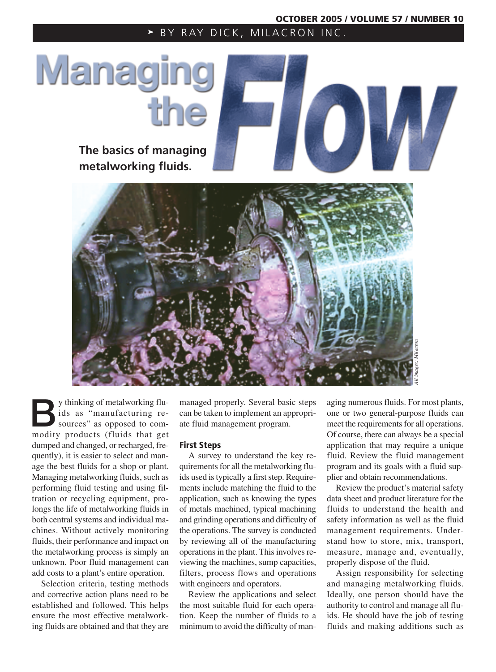BY RAY DICK, MILACRON INC.

# Managin

**The basics of managing metalworking fluids.**



By thinking of metalworking flu-<br>ids as "manufacturing re-<br>sources" as opposed to com-<br>modity products (fluids that get ids as "manufacturing remodity products (fluids that get dumped and changed, or recharged, frequently), it is easier to select and manage the best fluids for a shop or plant. Managing metalworking fluids, such as performing fluid testing and using filtration or recycling equipment, prolongs the life of metalworking fluids in both central systems and individual machines. Without actively monitoring fluids, their performance and impact on the metalworking process is simply an unknown. Poor fluid management can add costs to a plant's entire operation.

Selection criteria, testing methods and corrective action plans need to be established and followed. This helps ensure the most effective metalworking fluids are obtained and that they are

managed properly. Several basic steps can be taken to implement an appropriate fluid management program.

# **First Steps**

A survey to understand the key requirements for all the metalworking fluids used is typically a first step. Requirements include matching the fluid to the application, such as knowing the types of metals machined, typical machining and grinding operations and difficulty of the operations. The survey is conducted by reviewing all of the manufacturing operations in the plant. This involves reviewing the machines, sump capacities, filters, process flows and operations with engineers and operators.

Review the applications and select the most suitable fluid for each operation. Keep the number of fluids to a minimum to avoid the difficulty of managing numerous fluids. For most plants, one or two general-purpose fluids can meet the requirements for all operations. Of course, there can always be a special application that may require a unique fluid. Review the fluid management program and its goals with a fluid supplier and obtain recommendations.

Review the product's material safety data sheet and product literature for the fluids to understand the health and safety information as well as the fluid management requirements. Understand how to store, mix, transport, measure, manage and, eventually, properly dispose of the fluid.

Assign responsibility for selecting and managing metalworking fluids. Ideally, one person should have the authority to control and manage all fluids. He should have the job of testing fluids and making additions such as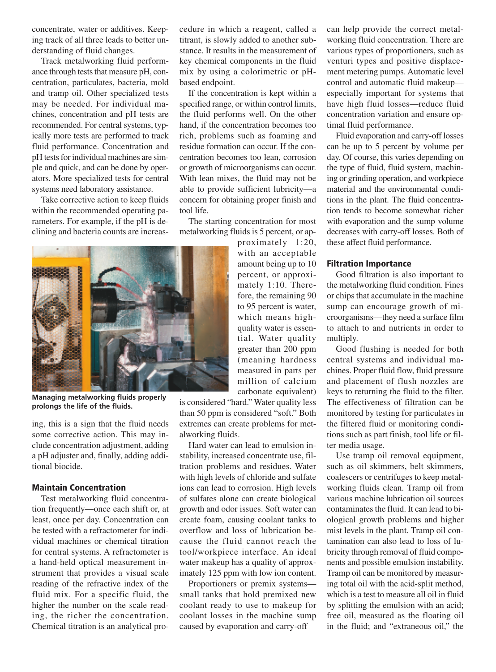concentrate, water or additives. Keeping track of all three leads to better understanding of fluid changes.

Track metalworking fluid performance through tests that measure pH, concentration, particulates, bacteria, mold and tramp oil. Other specialized tests may be needed. For individual machines, concentration and pH tests are recommended. For central systems, typically more tests are performed to track fluid performance. Concentration and pH tests for individual machines are simple and quick, and can be done by operators. More specialized tests for central systems need laboratory assistance.

Take corrective action to keep fluids within the recommended operating parameters. For example, if the pH is declining and bacteria counts are increascedure in which a reagent, called a titrant, is slowly added to another substance. It results in the measurement of key chemical components in the fluid mix by using a colorimetric or pHbased endpoint.

If the concentration is kept within a specified range, or within control limits, the fluid performs well. On the other hand, if the concentration becomes too rich, problems such as foaming and residue formation can occur. If the concentration becomes too lean, corrosion or growth of microorganisms can occur. With lean mixes, the fluid may not be able to provide sufficient lubricity—a concern for obtaining proper finish and tool life.

The starting concentration for most metalworking fluids is 5 percent, or ap-

> proximately 1:20, with an acceptable amount being up to 10 percent, or approximately 1:10. Therefore, the remaining 90 to 95 percent is water, which means highquality water is essential. Water quality greater than 200 ppm (meaning hardness measured in parts per million of calcium carbonate equivalent)

is considered "hard." Water quality less than 50 ppm is considered "soft." Both extremes can create problems for metalworking fluids.

Hard water can lead to emulsion instability, increased concentrate use, filtration problems and residues. Water with high levels of chloride and sulfate ions can lead to corrosion. High levels of sulfates alone can create biological growth and odor issues. Soft water can create foam, causing coolant tanks to overflow and loss of lubrication because the fluid cannot reach the tool/workpiece interface. An ideal water makeup has a quality of approximately 125 ppm with low ion content.

Proportioners or premix systems small tanks that hold premixed new coolant ready to use to makeup for coolant losses in the machine sump caused by evaporation and carry-offcan help provide the correct metalworking fluid concentration. There are various types of proportioners, such as venturi types and positive displacement metering pumps. Automatic level control and automatic fluid makeup especially important for systems that have high fluid losses—reduce fluid concentration variation and ensure optimal fluid performance.

Fluid evaporation and carry-off losses can be up to 5 percent by volume per day. Of course, this varies depending on the type of fluid, fluid system, machining or grinding operation, and workpiece material and the environmental conditions in the plant. The fluid concentration tends to become somewhat richer with evaporation and the sump volume decreases with carry-off losses. Both of these affect fluid performance.

# **Filtration Importance**

Good filtration is also important to the metalworking fluid condition. Fines or chips that accumulate in the machine sump can encourage growth of microorganisms—they need a surface film to attach to and nutrients in order to multiply.

Good flushing is needed for both central systems and individual machines. Proper fluid flow, fluid pressure and placement of flush nozzles are keys to returning the fluid to the filter. The effectiveness of filtration can be monitored by testing for particulates in the filtered fluid or monitoring conditions such as part finish, tool life or filter media usage.

Use tramp oil removal equipment, such as oil skimmers, belt skimmers, coalescers or centrifuges to keep metalworking fluids clean. Tramp oil from various machine lubrication oil sources contaminates the fluid. It can lead to biological growth problems and higher mist levels in the plant. Tramp oil contamination can also lead to loss of lubricity through removal of fluid components and possible emulsion instability. Tramp oil can be monitored by measuring total oil with the acid-split method, which is a test to measure all oil in fluid by splitting the emulsion with an acid; free oil, measured as the floating oil in the fluid; and "extraneous oil," the

**Managing metalworking fluids properly** 

ing, this is a sign that the fluid needs some corrective action. This may include concentration adjustment, adding a pH adjuster and, finally, adding addi-

# **Maintain Concentration**

**prolongs the life of the fluids.**

tional biocide.

Test metalworking fluid concentration frequently—once each shift or, at least, once per day. Concentration can be tested with a refractometer for individual machines or chemical titration for central systems. A refractometer is a hand-held optical measurement instrument that provides a visual scale reading of the refractive index of the fluid mix. For a specific fluid, the higher the number on the scale reading, the richer the concentration. Chemical titration is an analytical pro-